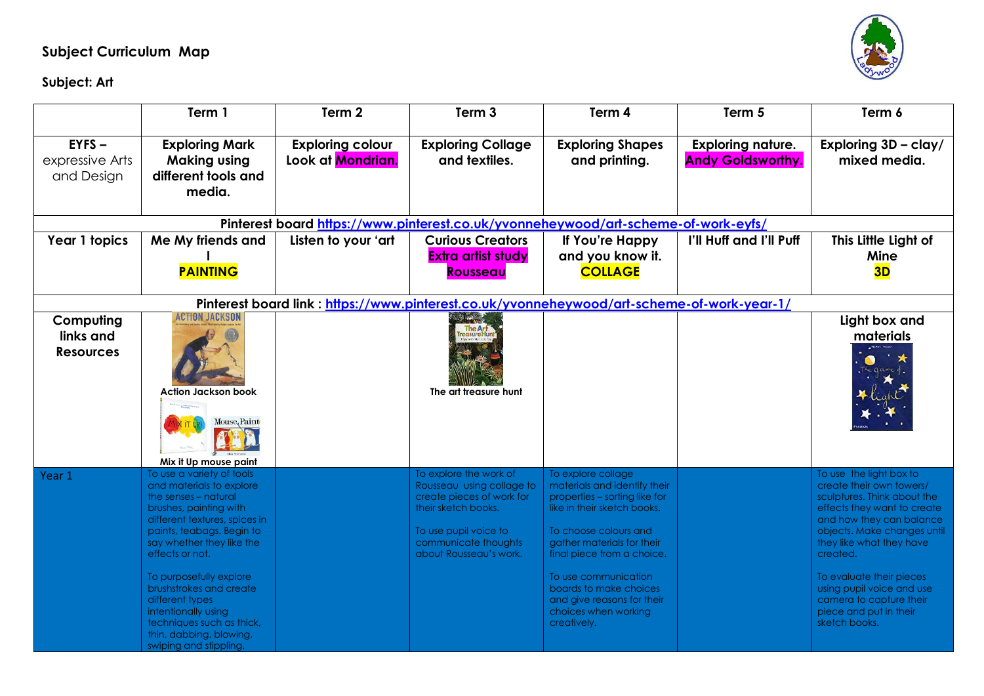## **Subject Curriculum Map**

## **Subject: Art**



|                                            | Term 1                                                                                                                                                                                                                                                                                                                                                                                                  | Term <sub>2</sub>                            | Term <sub>3</sub>                                                                                                                                                                  | Term 4                                                                                                                                                                                                                                                                                                                         | Term 5                                               | Term 6                                                                                                                                                                                                                                                                                                                                              |  |  |  |  |
|--------------------------------------------|---------------------------------------------------------------------------------------------------------------------------------------------------------------------------------------------------------------------------------------------------------------------------------------------------------------------------------------------------------------------------------------------------------|----------------------------------------------|------------------------------------------------------------------------------------------------------------------------------------------------------------------------------------|--------------------------------------------------------------------------------------------------------------------------------------------------------------------------------------------------------------------------------------------------------------------------------------------------------------------------------|------------------------------------------------------|-----------------------------------------------------------------------------------------------------------------------------------------------------------------------------------------------------------------------------------------------------------------------------------------------------------------------------------------------------|--|--|--|--|
| $EYFS -$<br>expressive Arts<br>and Design  | <b>Exploring Mark</b><br><b>Making using</b><br>different tools and<br>media.                                                                                                                                                                                                                                                                                                                           | <b>Exploring colour</b><br>Look at Mondrian. | <b>Exploring Collage</b><br>and textiles.                                                                                                                                          | <b>Exploring Shapes</b><br>and printing.                                                                                                                                                                                                                                                                                       | <b>Exploring nature.</b><br><b>Andy Goldsworthy.</b> | Exploring 3D - clay/<br>mixed media.                                                                                                                                                                                                                                                                                                                |  |  |  |  |
|                                            | Pinterest board https://www.pinterest.co.uk/yvonneheywood/art-scheme-of-work-eyfs/                                                                                                                                                                                                                                                                                                                      |                                              |                                                                                                                                                                                    |                                                                                                                                                                                                                                                                                                                                |                                                      |                                                                                                                                                                                                                                                                                                                                                     |  |  |  |  |
| Year 1 topics                              | Me My friends and<br><b>PAINTING</b>                                                                                                                                                                                                                                                                                                                                                                    | Listen to your 'art                          | <b>Curious Creators</b><br><b>Extra artist study</b><br><b>Rousseau</b>                                                                                                            | If You're Happy<br>and you know it.<br><b>COLLAGE</b>                                                                                                                                                                                                                                                                          | I'll Huff and I'll Puff                              | This Little Light of<br>Mine<br>3D                                                                                                                                                                                                                                                                                                                  |  |  |  |  |
|                                            |                                                                                                                                                                                                                                                                                                                                                                                                         |                                              | Pinterest board link: https://www.pinterest.co.uk/yvonneheywood/art-scheme-of-work-year-1/                                                                                         |                                                                                                                                                                                                                                                                                                                                |                                                      |                                                                                                                                                                                                                                                                                                                                                     |  |  |  |  |
| Computing<br>links and<br><b>Resources</b> | <b>ACTION JACKSON</b><br>Action Jackson book<br>Mouse, Paint<br>Mix it Up mouse paint                                                                                                                                                                                                                                                                                                                   |                                              | <b>The Art</b><br>The art treasure hunt                                                                                                                                            |                                                                                                                                                                                                                                                                                                                                |                                                      | Light box and<br>materials                                                                                                                                                                                                                                                                                                                          |  |  |  |  |
| Year 1                                     | To use a variety of tools<br>and materials to explore<br>the senses - natural<br>brushes, painting with<br>different textures, spices in<br>paints, teabags. Begin to<br>say whether they like the<br>effects or not.<br>To purposefully explore<br>brushstrokes and create<br>different types<br>intentionally using<br>techniques such as thick,<br>thin, dabbing, blowing,<br>swiping and stippling. |                                              | To explore the work of<br>Rousseau using collage to<br>create pieces of work for<br>their sketch books.<br>To use pupil voice to<br>communicate thoughts<br>about Rousseau's work. | To explore collage<br>materials and identify their<br>properties - sorting like for<br>like in their sketch books.<br>To choose colours and<br>gather materials for their<br>final piece from a choice.<br>To use communication<br>boards to make choices<br>and give reasons for their<br>choices when working<br>creatively. |                                                      | To use the light box to<br>create their own towers/<br>sculptures. Think about the<br>effects they want to create<br>and how they can balance<br>objects. Make changes until<br>they like what they have<br>created.<br>To evaluate their pieces<br>using pupil voice and use<br>camera to capture their<br>piece and put in their<br>sketch books. |  |  |  |  |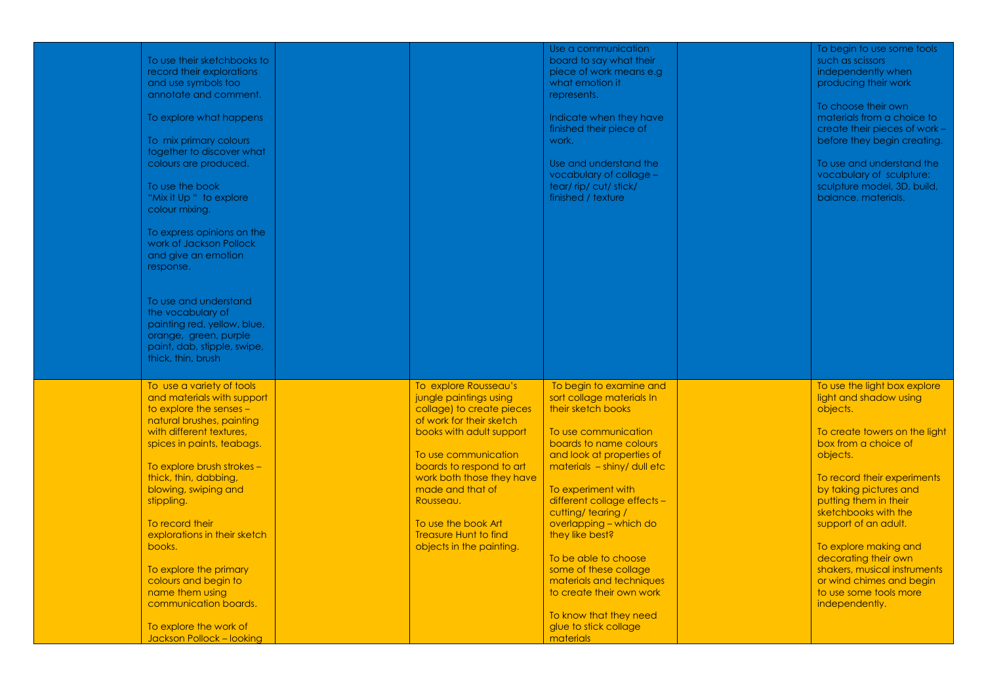|                                                     |                           | Use a communication                | To begin to use some tools    |
|-----------------------------------------------------|---------------------------|------------------------------------|-------------------------------|
|                                                     |                           |                                    |                               |
| To use their sketchbooks to                         |                           | board to say what their            | such as scissors              |
| record their explorations                           |                           | piece of work means e.g            | independently when            |
| and use symbols too                                 |                           | what emotion it                    | producing their work          |
| annotate and comment.                               |                           | represents.                        |                               |
|                                                     |                           |                                    | To choose their own           |
| To explore what happens                             |                           | Indicate when they have            | materials from a choice to    |
|                                                     |                           | finished their piece of            | create their pieces of work - |
|                                                     |                           |                                    |                               |
| To mix primary colours                              |                           | work.                              | before they begin creating.   |
| together to discover what                           |                           |                                    |                               |
| colours are produced.                               |                           | Use and understand the             | To use and understand the     |
|                                                     |                           | vocabulary of collage -            | vocabulary of sculpture:      |
| To use the book                                     |                           | tear/rip/cut/stick/                | sculpture model, 3D, build,   |
| "Mix it Up " to explore                             |                           | finished / texture                 | balance, materials.           |
| colour mixing.                                      |                           |                                    |                               |
|                                                     |                           |                                    |                               |
|                                                     |                           |                                    |                               |
| To express opinions on the                          |                           |                                    |                               |
| work of Jackson Pollock                             |                           |                                    |                               |
| and give an emotion                                 |                           |                                    |                               |
| response.                                           |                           |                                    |                               |
|                                                     |                           |                                    |                               |
|                                                     |                           |                                    |                               |
| To use and understand                               |                           |                                    |                               |
|                                                     |                           |                                    |                               |
| the vocabulary of                                   |                           |                                    |                               |
| painting red, yellow, blue,                         |                           |                                    |                               |
| orange, green, purple                               |                           |                                    |                               |
| paint, dab, stipple, swipe,                         |                           |                                    |                               |
|                                                     |                           |                                    |                               |
| thick, thin, brush                                  |                           |                                    |                               |
|                                                     |                           |                                    |                               |
|                                                     |                           |                                    |                               |
| To use a variety of tools                           | To explore Rousseau's     | To begin to examine and            | To use the light box explore  |
| and materials with support                          | jungle paintings using    | sort collage materials In          | light and shadow using        |
| to explore the senses -                             | collage) to create pieces | their sketch books                 | objects.                      |
| natural brushes, painting                           | of work for their sketch  |                                    |                               |
| with different textures,                            | books with adult support  | To use communication               | To create towers on the light |
|                                                     |                           | boards to name colours             | box from a choice of          |
| spices in paints, teabags.                          |                           |                                    |                               |
|                                                     | To use communication      | and look at properties of          | objects.                      |
| To explore brush strokes -                          | boards to respond to art  | materials - shiny/ dull etc        |                               |
| thick, thin, dabbing,                               | work both those they have |                                    | To record their experiments   |
| blowing, swiping and                                | made and that of          | To experiment with                 | by taking pictures and        |
| stippling.                                          | Rousseau.                 | different collage effects -        | putting them in their         |
|                                                     |                           | cutting/tearing/                   | sketchbooks with the          |
| To record their                                     | To use the book Art       | overlapping – which do             | support of an adult.          |
| explorations in their sketch                        | Treasure Hunt to find     | they like best?                    |                               |
| books.                                              |                           |                                    |                               |
|                                                     | objects in the painting.  |                                    | To explore making and         |
|                                                     |                           | To be able to choose               | decorating their own          |
| To explore the primary                              |                           | some of these collage              | shakers, musical instruments  |
| colours and begin to                                |                           | materials and techniques           | or wind chimes and begin      |
| name them using                                     |                           | to create their own work           | to use some tools more        |
| communication boards.                               |                           |                                    | independently.                |
|                                                     |                           | To know that they need             |                               |
|                                                     |                           |                                    |                               |
| To explore the work of<br>Jackson Pollock - looking |                           | glue to stick collage<br>materials |                               |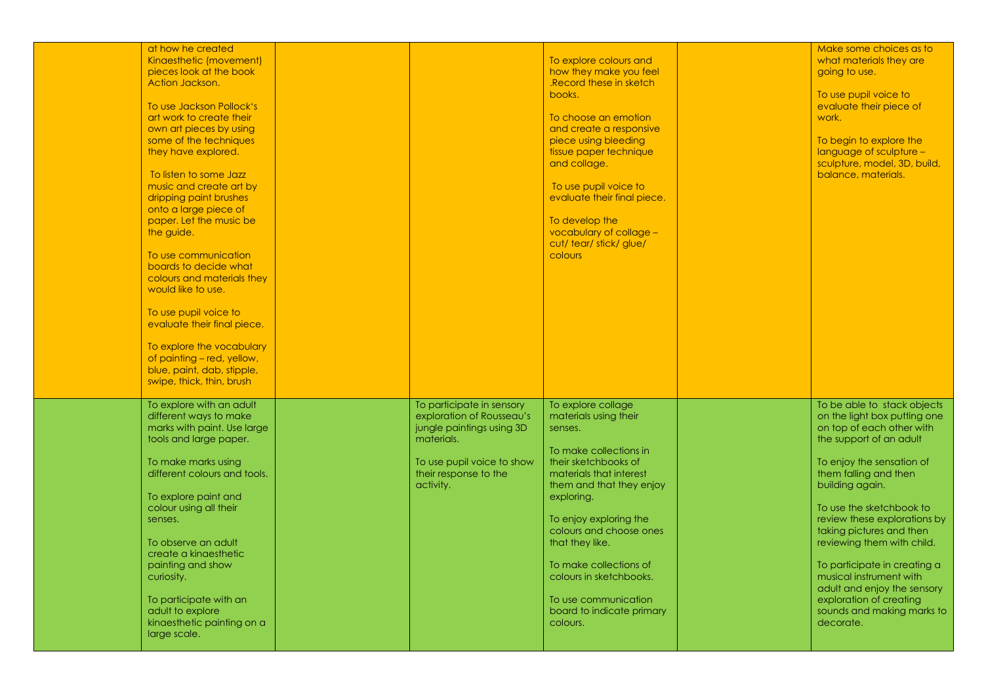| at how he created            |                            |                             | Make some choices as to      |
|------------------------------|----------------------------|-----------------------------|------------------------------|
|                              |                            |                             |                              |
| Kinaesthetic (movement)      |                            | To explore colours and      | what materials they are      |
| pieces look at the book      |                            | how they make you feel      | going to use.                |
| Action Jackson.              |                            | Record these in sketch.     |                              |
|                              |                            | books.                      | To use pupil voice to        |
| To use Jackson Pollock's     |                            |                             | evaluate their piece of      |
| art work to create their     |                            | To choose an emotion        | work.                        |
| own art pieces by using      |                            | and create a responsive     |                              |
| some of the techniques       |                            | piece using bleeding        | To begin to explore the      |
| they have explored.          |                            | tissue paper technique      | language of sculpture -      |
|                              |                            | and collage.                | sculpture, model, 3D, build, |
| To listen to some Jazz       |                            |                             | balance, materials.          |
| music and create art by      |                            | To use pupil voice to       |                              |
| dripping paint brushes       |                            | evaluate their final piece. |                              |
| onto a large piece of        |                            |                             |                              |
| paper. Let the music be      |                            | To develop the              |                              |
| the guide.                   |                            | vocabulary of collage -     |                              |
|                              |                            | cut/ tear/ stick/ glue/     |                              |
| To use communication         |                            | colours                     |                              |
| boards to decide what        |                            |                             |                              |
| colours and materials they   |                            |                             |                              |
| would like to use.           |                            |                             |                              |
|                              |                            |                             |                              |
| To use pupil voice to        |                            |                             |                              |
| evaluate their final piece.  |                            |                             |                              |
|                              |                            |                             |                              |
|                              |                            |                             |                              |
| To explore the vocabulary    |                            |                             |                              |
| of painting - red, yellow,   |                            |                             |                              |
| blue, paint, dab, stipple,   |                            |                             |                              |
| swipe, thick, thin, brush    |                            |                             |                              |
|                              |                            |                             |                              |
| To explore with an adult     | To participate in sensory  | To explore collage          | To be able to stack objects  |
| different ways to make       | exploration of Rousseau's  | materials using their       | on the light box putting one |
| marks with paint. Use large  | jungle paintings using 3D  | senses.                     | on top of each other with    |
| tools and large paper.       | materials.                 |                             | the support of an adult      |
|                              |                            | To make collections in      |                              |
| To make marks using          | To use pupil voice to show | their sketchbooks of        | To enjoy the sensation of    |
| different colours and tools. | their response to the      | materials that interest     | them falling and then        |
|                              | activity.                  | them and that they enjoy    | building again.              |
| To explore paint and         |                            | exploring.                  |                              |
| colour using all their       |                            |                             | To use the sketchbook to     |
| senses.                      |                            | To enjoy exploring the      | review these explorations by |
|                              |                            | colours and choose ones     | taking pictures and then     |
| To observe an adult          |                            | that they like.             | reviewing them with child.   |
| create a kinaesthetic        |                            |                             |                              |
| painting and show            |                            | To make collections of      | To participate in creating a |
| curiosity.                   |                            | colours in sketchbooks.     | musical instrument with      |
|                              |                            |                             | adult and enjoy the sensory  |
| To participate with an       |                            | To use communication        | exploration of creating      |
| adult to explore             |                            | board to indicate primary   | sounds and making marks to   |
| kinaesthetic painting on a   |                            | colours.                    | decorate.                    |
| large scale.                 |                            |                             |                              |
|                              |                            |                             |                              |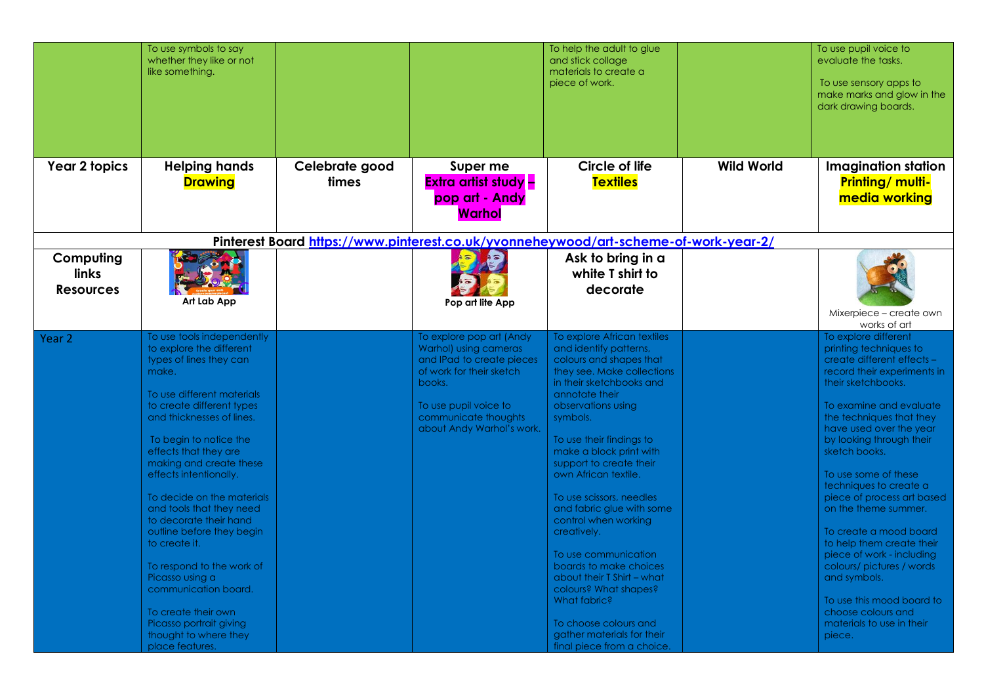| <b>Year 2 topics</b>                   | To use symbols to say<br>whether they like or not<br>like something.<br><b>Helping hands</b>                                                                                                                                                                                                                                                                                                                                                                                                                                                                                                       | Celebrate good |                                                                                                                                                                                                    | To help the adult to glue<br>and stick collage<br>materials to create a<br>piece of work.<br>Circle of life                                                                                                                                                                                                                                                                                                                                                                                                                                                                                                            | <b>Wild World</b> | To use pupil voice to<br>evaluate the tasks.<br>To use sensory apps to<br>make marks and glow in the<br>dark drawing boards.<br><b>Imagination station</b>                                                                                                                                                                                                                                                                                                                                                                                                                                          |
|----------------------------------------|----------------------------------------------------------------------------------------------------------------------------------------------------------------------------------------------------------------------------------------------------------------------------------------------------------------------------------------------------------------------------------------------------------------------------------------------------------------------------------------------------------------------------------------------------------------------------------------------------|----------------|----------------------------------------------------------------------------------------------------------------------------------------------------------------------------------------------------|------------------------------------------------------------------------------------------------------------------------------------------------------------------------------------------------------------------------------------------------------------------------------------------------------------------------------------------------------------------------------------------------------------------------------------------------------------------------------------------------------------------------------------------------------------------------------------------------------------------------|-------------------|-----------------------------------------------------------------------------------------------------------------------------------------------------------------------------------------------------------------------------------------------------------------------------------------------------------------------------------------------------------------------------------------------------------------------------------------------------------------------------------------------------------------------------------------------------------------------------------------------------|
|                                        | <b>Drawing</b>                                                                                                                                                                                                                                                                                                                                                                                                                                                                                                                                                                                     | times          | Super me<br><b>Extra artist study -</b><br>pop art - Andy<br>Warhol                                                                                                                                | <b>Textiles</b>                                                                                                                                                                                                                                                                                                                                                                                                                                                                                                                                                                                                        |                   | Printing/ multi-<br>media working                                                                                                                                                                                                                                                                                                                                                                                                                                                                                                                                                                   |
|                                        |                                                                                                                                                                                                                                                                                                                                                                                                                                                                                                                                                                                                    |                |                                                                                                                                                                                                    | Pinterest Board https://www.pinterest.co.uk/yvonneheywood/art-scheme-of-work-year-2/                                                                                                                                                                                                                                                                                                                                                                                                                                                                                                                                   |                   |                                                                                                                                                                                                                                                                                                                                                                                                                                                                                                                                                                                                     |
| Computing<br>links<br><b>Resources</b> | Art Lab App                                                                                                                                                                                                                                                                                                                                                                                                                                                                                                                                                                                        |                | Pop art lite App                                                                                                                                                                                   | Ask to bring in a<br>white T shirt to<br>decorate                                                                                                                                                                                                                                                                                                                                                                                                                                                                                                                                                                      |                   | Mixerpiece – create own<br>works of art                                                                                                                                                                                                                                                                                                                                                                                                                                                                                                                                                             |
| Year 2                                 | To use tools independently<br>to explore the different<br>types of lines they can<br>make.<br>To use different materials<br>to create different types<br>and thicknesses of lines.<br>To begin to notice the<br>effects that they are<br>making and create these<br>effects intentionally.<br>To decide on the materials<br>and tools that they need<br>to decorate their hand<br>outline before they begin<br>to create it.<br>To respond to the work of<br>Picasso using a<br>communication board.<br>To create their own<br>Picasso portrait giving<br>thought to where they<br>place features. |                | To explore pop art (Andy<br>Warhol) using cameras<br>and IPad to create pieces<br>of work for their sketch<br>books.<br>To use pupil voice to<br>communicate thoughts<br>about Andy Warhol's work. | To explore African textiles<br>and identify patterns,<br>colours and shapes that<br>they see. Make collections<br>in their sketchbooks and<br>annotate their<br>observations using<br>symbols.<br>To use their findings to<br>make a block print with<br>support to create their<br>own African textile.<br>To use scissors, needles<br>and fabric glue with some<br>control when working<br>creatively.<br>To use communication<br>boards to make choices<br>about their T Shirt - what<br>colours? What shapes?<br>What fabric?<br>To choose colours and<br>gather materials for their<br>final piece from a choice. |                   | To explore different<br>printing techniques to<br>create different effects -<br>record their experiments in<br>their sketchbooks.<br>To examine and evaluate<br>the techniques that they<br>have used over the year<br>by looking through their<br>sketch books.<br>To use some of these<br>techniques to create a<br>piece of process art based<br>on the theme summer.<br>To create a mood board<br>to help them create their<br>piece of work - including<br>colours/ pictures / words<br>and symbols.<br>To use this mood board to<br>choose colours and<br>materials to use in their<br>piece. |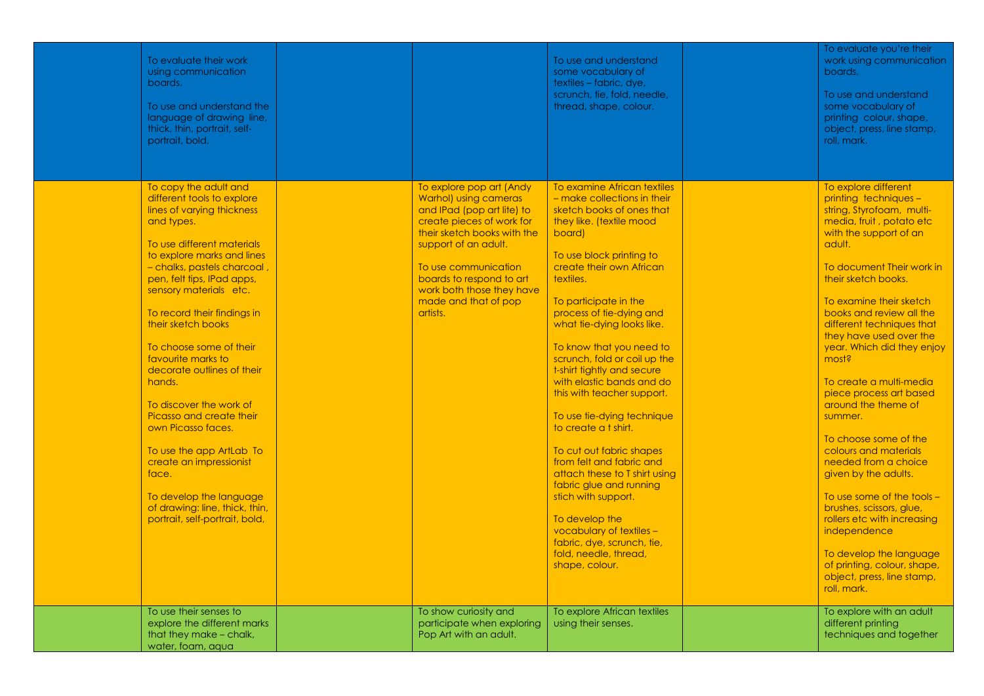| To evaluate their work<br>using communication<br>boards.<br>To use and understand the<br>language of drawing line,<br>thick, thin, portrait, self-<br>portrait, bold,                                                                                                                                                                                                                                                                                                                                                                                                                                                                        |                                                                                                                                                                                                                                                                                          | To use and understand<br>some vocabulary of<br>textiles - fabric, dye,<br>scrunch, tie, fold, needle,<br>thread, shape, colour.                                                                                                                                                                                                                                                                                                                                                                                                                                                                                                                                                                                                                                    | To evaluate you're their<br>work using communication<br>boards.<br>To use and understand<br>some vocabulary of<br>printing colour, shape,<br>object, press, line stamp,<br>roll, mark.                                                                                                                                                                                                                                                                                                                                                                                                                                                                                                                                                                          |
|----------------------------------------------------------------------------------------------------------------------------------------------------------------------------------------------------------------------------------------------------------------------------------------------------------------------------------------------------------------------------------------------------------------------------------------------------------------------------------------------------------------------------------------------------------------------------------------------------------------------------------------------|------------------------------------------------------------------------------------------------------------------------------------------------------------------------------------------------------------------------------------------------------------------------------------------|--------------------------------------------------------------------------------------------------------------------------------------------------------------------------------------------------------------------------------------------------------------------------------------------------------------------------------------------------------------------------------------------------------------------------------------------------------------------------------------------------------------------------------------------------------------------------------------------------------------------------------------------------------------------------------------------------------------------------------------------------------------------|-----------------------------------------------------------------------------------------------------------------------------------------------------------------------------------------------------------------------------------------------------------------------------------------------------------------------------------------------------------------------------------------------------------------------------------------------------------------------------------------------------------------------------------------------------------------------------------------------------------------------------------------------------------------------------------------------------------------------------------------------------------------|
| To copy the adult and<br>different tools to explore<br>lines of varying thickness<br>and types.<br>To use different materials<br>to explore marks and lines<br>- chalks, pastels charcoal,<br>pen, felt tips, IPad apps,<br>sensory materials etc.<br>To record their findings in<br>their sketch books<br>To choose some of their<br>favourite marks to<br>decorate outlines of their<br>hands.<br>To discover the work of<br>Picasso and create their<br>own Picasso faces.<br>To use the app ArtLab To<br>create an impressionist<br>face.<br>To develop the language<br>of drawing: line, thick, thin,<br>portrait, self-portrait, bold, | To explore pop art (Andy<br>Warhol) using cameras<br>and IPad (pop art lite) to<br>create pieces of work for<br>their sketch books with the<br>support of an adult.<br>To use communication<br>boards to respond to art<br>work both those they have<br>made and that of pop<br>artists. | To examine African textiles<br>- make collections in their<br>sketch books of ones that<br>they like. (textile mood<br>board)<br>To use block printing to<br>create their own African<br>textiles.<br>To participate in the<br>process of tie-dying and<br>what tie-dying looks like.<br>To know that you need to<br>scrunch, fold or coil up the<br>t-shirt tightly and secure<br>with elastic bands and do<br>this with teacher support.<br>To use tie-dying technique<br>to create a t shirt.<br>To cut out fabric shapes<br>from felt and fabric and<br>attach these to T shirt using<br>fabric glue and running<br>stich with support.<br>To develop the<br>vocabulary of textiles -<br>fabric, dye, scrunch, tie,<br>fold, needle, thread,<br>shape, colour. | To explore different<br>printing techniques-<br>string, Styrofoam, multi-<br>media, fruit, potato etc<br>with the support of an<br>adult.<br>To document Their work in<br>their sketch books.<br>To examine their sketch<br>books and review all the<br>different techniques that<br>they have used over the<br>year. Which did they enjoy<br>most?<br>To create a multi-media<br>piece process art based<br>around the theme of<br>summer.<br>To choose some of the<br>colours and materials<br>needed from a choice<br>given by the adults.<br>To use some of the tools $-$<br>brushes, scissors, glue,<br>rollers etc with increasing<br>independence<br>To develop the language<br>of printing, colour, shape,<br>object, press, line stamp,<br>roll, mark. |
| To use their senses to<br>explore the different marks<br>that they make - chalk,<br>water, foam, aqua                                                                                                                                                                                                                                                                                                                                                                                                                                                                                                                                        | To show curiosity and<br>participate when exploring<br>Pop Art with an adult.                                                                                                                                                                                                            | To explore African textiles<br>using their senses.                                                                                                                                                                                                                                                                                                                                                                                                                                                                                                                                                                                                                                                                                                                 | To explore with an adult<br>different printing<br>techniques and together                                                                                                                                                                                                                                                                                                                                                                                                                                                                                                                                                                                                                                                                                       |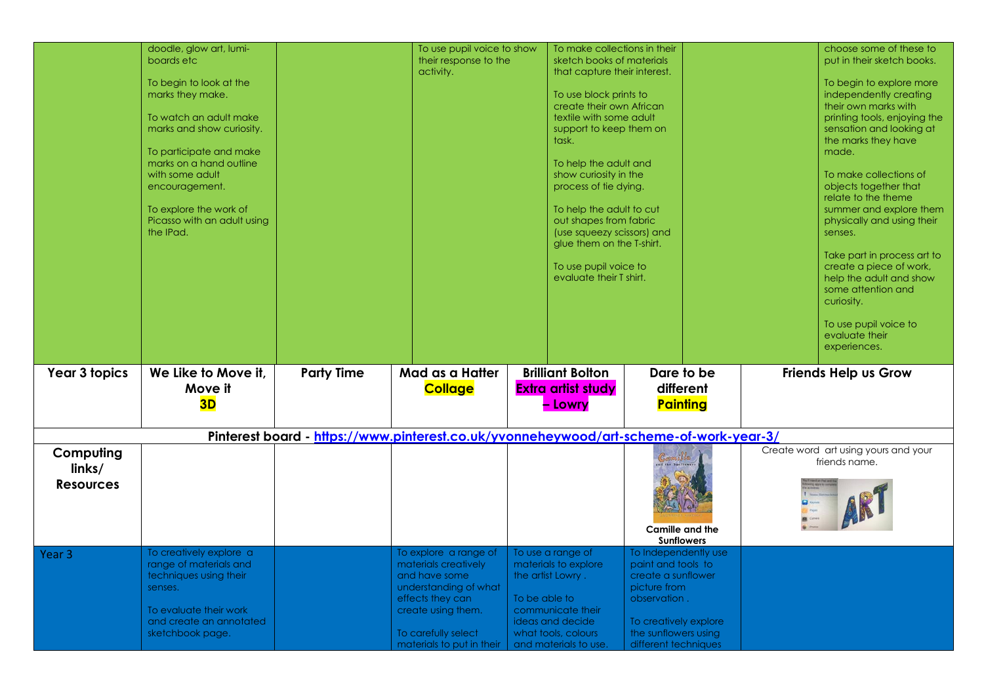|                                         | doodle, glow art, lumi-<br>boards etc<br>To begin to look at the<br>marks they make.<br>To watch an adult make<br>marks and show curiosity.<br>To participate and make<br>marks on a hand outline<br>with some adult<br>encouragement.<br>To explore the work of<br>Picasso with an adult using<br>the IPad. |                                                                                        | To use pupil voice to show<br>their response to the<br>activity.                                                                                                                      |               | To make collections in their<br>sketch books of materials<br>that capture their interest.<br>To use block prints to<br>create their own African<br>textile with some adult<br>support to keep them on<br>task.<br>To help the adult and<br>show curiosity in the<br>process of tie dying.<br>To help the adult to cut<br>out shapes from fabric<br>(use squeezy scissors) and<br>glue them on the T-shirt.<br>To use pupil voice to<br>evaluate their T shirt. |                                                                                                                                                                           | choose some of these to<br>put in their sketch books.<br>To begin to explore more<br>independently creating<br>their own marks with<br>printing tools, enjoying the<br>sensation and looking at<br>the marks they have<br>made.<br>To make collections of<br>objects together that<br>relate to the theme<br>summer and explore them<br>physically and using their<br>senses.<br>Take part in process art to<br>create a piece of work,<br>help the adult and show<br>some attention and<br>curiosity.<br>To use pupil voice to<br>evaluate their<br>experiences. |
|-----------------------------------------|--------------------------------------------------------------------------------------------------------------------------------------------------------------------------------------------------------------------------------------------------------------------------------------------------------------|----------------------------------------------------------------------------------------|---------------------------------------------------------------------------------------------------------------------------------------------------------------------------------------|---------------|----------------------------------------------------------------------------------------------------------------------------------------------------------------------------------------------------------------------------------------------------------------------------------------------------------------------------------------------------------------------------------------------------------------------------------------------------------------|---------------------------------------------------------------------------------------------------------------------------------------------------------------------------|-------------------------------------------------------------------------------------------------------------------------------------------------------------------------------------------------------------------------------------------------------------------------------------------------------------------------------------------------------------------------------------------------------------------------------------------------------------------------------------------------------------------------------------------------------------------|
| Year 3 topics                           | We Like to Move it.<br>Move it<br>3D                                                                                                                                                                                                                                                                         | <b>Party Time</b>                                                                      | Mad as a Hatter<br><b>Collage</b>                                                                                                                                                     |               | <b>Brilliant Bolton</b><br><b>Extra artist study</b><br>- Lowry                                                                                                                                                                                                                                                                                                                                                                                                | Dare to be<br>different<br><b>Painting</b>                                                                                                                                | <b>Friends Help us Grow</b>                                                                                                                                                                                                                                                                                                                                                                                                                                                                                                                                       |
|                                         |                                                                                                                                                                                                                                                                                                              | Pinterest board - https://www.pinterest.co.uk/yvonneheywood/art-scheme-of-work-year-3/ |                                                                                                                                                                                       |               |                                                                                                                                                                                                                                                                                                                                                                                                                                                                |                                                                                                                                                                           |                                                                                                                                                                                                                                                                                                                                                                                                                                                                                                                                                                   |
| Computing<br>links/<br><b>Resources</b> |                                                                                                                                                                                                                                                                                                              |                                                                                        |                                                                                                                                                                                       |               |                                                                                                                                                                                                                                                                                                                                                                                                                                                                | Gamille<br><b>Camille and the</b><br><b>Sunflowers</b>                                                                                                                    | Create word art using yours and your<br>friends name.                                                                                                                                                                                                                                                                                                                                                                                                                                                                                                             |
| Year 3                                  | To creatively explore a<br>range of materials and<br>techniques using their<br>senses.<br>To evaluate their work<br>and create an annotated<br>sketchbook page.                                                                                                                                              |                                                                                        | To explore a range of<br>materials creatively<br>and have some<br>understanding of what<br>effects they can<br>create using them.<br>To carefully select<br>materials to put in their | To be able to | To use a range of<br>materials to explore<br>the artist Lowry.<br>communicate their<br>ideas and decide<br>what tools, colours<br>and materials to use.                                                                                                                                                                                                                                                                                                        | To Independently use<br>paint and tools to<br>create a sunflower<br>picture from<br>observation.<br>To creatively explore<br>the sunflowers using<br>different techniques |                                                                                                                                                                                                                                                                                                                                                                                                                                                                                                                                                                   |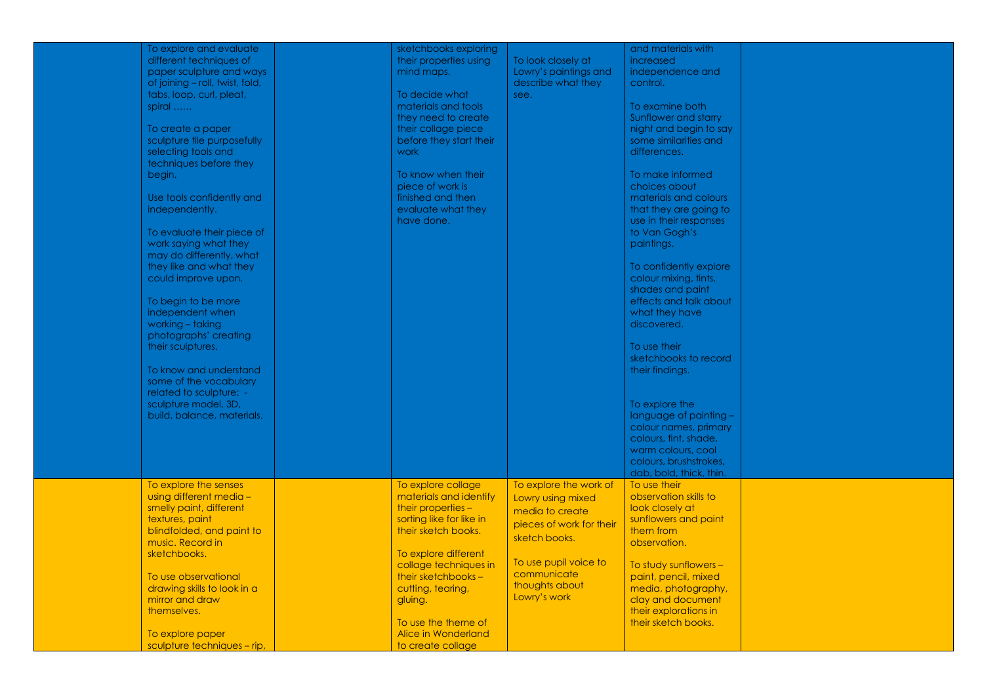| To explore and evaluate<br>different techniques of<br>paper sculpture and ways<br>of joining - roll, twist, fold,<br>tabs, loop, curl, pleat,                                                                                                                                                                                                                                                                                                | sketchbooks exploring<br>their properties using<br>mind maps.<br>To decide what                                                                    | To look closely at<br>Lowry's paintings and<br>describe what they<br>see.                                   | and materials with<br>increased<br>independence and<br>control.                                                                                                                                                                                                                                                                                                                         |  |
|----------------------------------------------------------------------------------------------------------------------------------------------------------------------------------------------------------------------------------------------------------------------------------------------------------------------------------------------------------------------------------------------------------------------------------------------|----------------------------------------------------------------------------------------------------------------------------------------------------|-------------------------------------------------------------------------------------------------------------|-----------------------------------------------------------------------------------------------------------------------------------------------------------------------------------------------------------------------------------------------------------------------------------------------------------------------------------------------------------------------------------------|--|
| spiral<br>To create a paper<br>sculpture tile purposefully<br>selecting tools and<br>techniques before they                                                                                                                                                                                                                                                                                                                                  | materials and tools<br>they need to create<br>their collage piece<br>before they start their<br>work                                               |                                                                                                             | To examine both<br>Sunflower and starry<br>night and begin to say<br>some similarities and<br>differences.                                                                                                                                                                                                                                                                              |  |
| begin.<br>Use tools confidently and<br>independently.<br>To evaluate their piece of<br>work saying what they<br>may do differently, what<br>they like and what they<br>could improve upon.<br>To begin to be more<br>independent when<br>working - taking<br>photographs' creating<br>their sculptures.<br>To know and understand<br>some of the vocabulary<br>related to sculpture: -<br>sculpture model, 3D,<br>build, balance, materials. | To know when their<br>piece of work is<br>finished and then<br>evaluate what they<br>have done.                                                    |                                                                                                             | To make informed<br>choices about<br>materials and colours<br>that they are going to<br>use in their responses<br>to Van Gogh's<br>paintings.<br>To confidently explore<br>colour mixing, tints,<br>shades and paint<br>effects and talk about<br>what they have<br>discovered.<br>To use their<br>sketchbooks to record<br>their findings.<br>To explore the<br>language of painting - |  |
|                                                                                                                                                                                                                                                                                                                                                                                                                                              |                                                                                                                                                    |                                                                                                             | colour names, primary<br>colours, tint, shade,<br>warm colours, cool<br>colours, brushstrokes,<br>dab, bold, thick, thin.                                                                                                                                                                                                                                                               |  |
| To explore the senses<br>using different media -<br>smelly paint, different<br>textures, paint<br>blindfolded, and paint to<br>music. Record in                                                                                                                                                                                                                                                                                              | To explore collage<br>materials and identify<br>their properties -<br>sorting like for like in<br>their sketch books.                              | To explore the work of<br>Lowry using mixed<br>media to create<br>pieces of work for their<br>sketch books. | To use their<br>observation skills to<br>look closely at<br>sunflowers and paint<br>them from<br>observation.                                                                                                                                                                                                                                                                           |  |
| sketchbooks.<br>To use observational<br>drawing skills to look in a<br>mirror and draw<br>themselves.                                                                                                                                                                                                                                                                                                                                        | To explore different<br>collage techniques in<br>their sketchbooks -<br>cutting, tearing,<br>gluing.<br>To use the theme of<br>Alice in Wonderland | To use pupil voice to<br>communicate<br>thoughts about<br>Lowry's work                                      | To study sunflowers -<br>paint, pencil, mixed<br>media, photography,<br>clay and document<br>their explorations in<br>their sketch books.                                                                                                                                                                                                                                               |  |
| To explore paper<br>sculpture techniques - rip,                                                                                                                                                                                                                                                                                                                                                                                              | to create collage                                                                                                                                  |                                                                                                             |                                                                                                                                                                                                                                                                                                                                                                                         |  |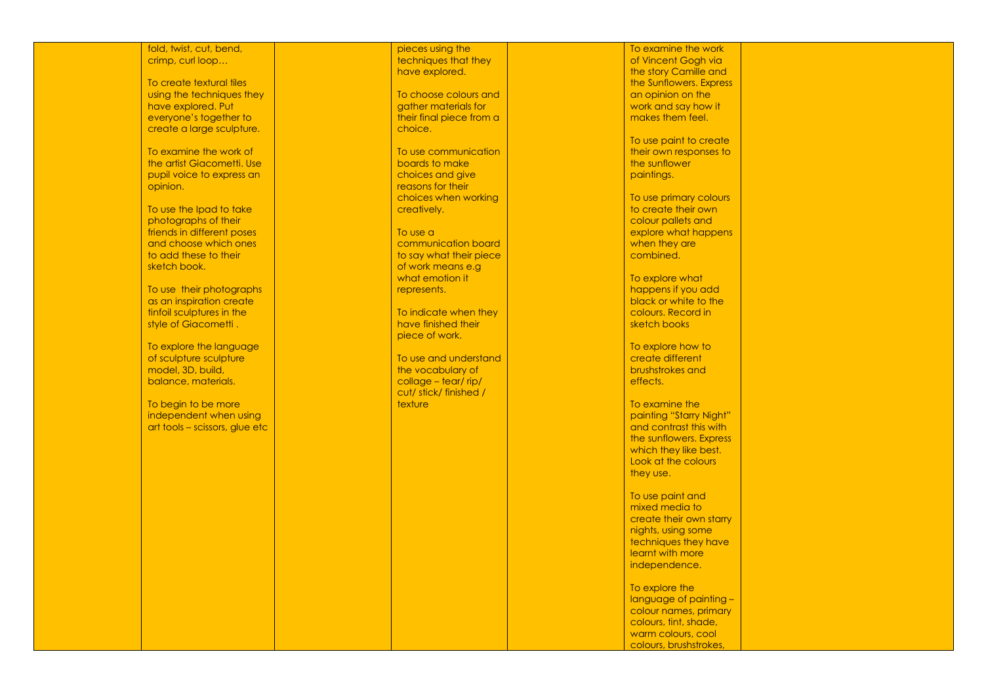## fold, twist, cut, bend, crimp, curl loop…

To create textural tiles using the techniques they have explored. Put everyone's together to create a large sculpture.

To examine the work of the artist Giacometti. Use pupil voice to express an opinion.

To use the Ipad to take photographs of their friends in different poses and choose which ones to add these to their sketch book.

To use their photographs as an inspiration create tinfoil sculptures in the style of Giacometti.

To explore the language of sculpture sculpture model, 3D, build, balance, materials.

To begin to be more independent when using art tools – scissors, glue etc pieces using the techniques that they have explored.

To choose colours and gather materials for their final piece from a choice.

To use communication boards to make choices and give reasons for their choices when working creatively.

To use a communication board to say what their piece of work means e.g what emotion it represents.

To indicate when they have finished their piece of work.

To use and understand the vocabulary of collage – tear/ rip/ cut/ stick/ finished / texture

To examine the work of Vincent Gogh via the story Camille and the Sunflowers. Express an opinion on the work and say how it makes them feel.

To use paint to create their own responses to the sunflower paintings.

To use primary colours to create their own colour pallets and explore what happens when they are combined.

To explore what happens if you add black or white to the colours. Record in sketch books

To explore how to create different brushstrokes and effects.

To examine the painting "Starry Night" and contrast this with the sunflowers. Express which they like best. Look at the colours they use.

To use paint and mixed media to create their own starry nights, using some techniques they have learnt with more independence.

To explore the language of painting – colour names, primary colours, tint, shade, warm colours, cool colours, brushstrokes,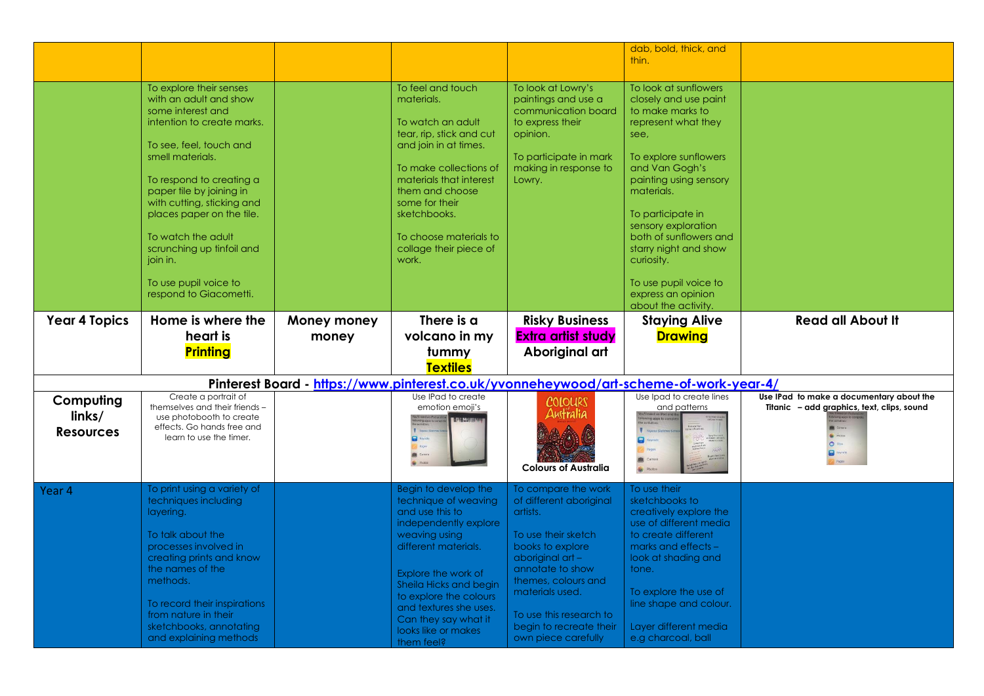|                      |                                                   |             |                                                                                                              |                                                | dab, bold, thick, and<br>thin.              |                                            |
|----------------------|---------------------------------------------------|-------------|--------------------------------------------------------------------------------------------------------------|------------------------------------------------|---------------------------------------------|--------------------------------------------|
|                      | To explore their senses                           |             | To feel and touch                                                                                            | To look at Lowry's                             | To look at sunflowers                       |                                            |
|                      | with an adult and show                            |             | materials.                                                                                                   | paintings and use a                            | closely and use paint                       |                                            |
|                      | some interest and                                 |             |                                                                                                              | communication board                            | to make marks to                            |                                            |
|                      | intention to create marks.                        |             | To watch an adult                                                                                            | to express their                               | represent what they                         |                                            |
|                      |                                                   |             | tear, rip, stick and cut                                                                                     | opinion.                                       | see,                                        |                                            |
|                      | To see, feel, touch and                           |             | and join in at times.                                                                                        |                                                |                                             |                                            |
|                      | smell materials.                                  |             | To make collections of                                                                                       | To participate in mark                         | To explore sunflowers                       |                                            |
|                      | To respond to creating a                          |             | materials that interest                                                                                      | making in response to<br>Lowry.                | and Van Gogh's<br>painting using sensory    |                                            |
|                      | paper tile by joining in                          |             | them and choose                                                                                              |                                                | materials.                                  |                                            |
|                      | with cutting, sticking and                        |             | some for their                                                                                               |                                                |                                             |                                            |
|                      | places paper on the tile.                         |             | sketchbooks.                                                                                                 |                                                | To participate in                           |                                            |
|                      |                                                   |             |                                                                                                              |                                                | sensory exploration                         |                                            |
|                      | To watch the adult                                |             | To choose materials to                                                                                       |                                                | both of sunflowers and                      |                                            |
|                      | scrunching up tinfoil and                         |             | collage their piece of                                                                                       |                                                | starry night and show                       |                                            |
|                      | ioin in.                                          |             | work.                                                                                                        |                                                | curiosity.                                  |                                            |
|                      |                                                   |             |                                                                                                              |                                                |                                             |                                            |
|                      | To use pupil voice to                             |             |                                                                                                              |                                                | To use pupil voice to                       |                                            |
|                      | respond to Giacometti.                            |             |                                                                                                              |                                                | express an opinion                          |                                            |
|                      |                                                   |             |                                                                                                              |                                                | about the activity.                         |                                            |
| <b>Year 4 Topics</b> | Home is where the                                 | Money money | There is a                                                                                                   | <b>Risky Business</b>                          | <b>Staying Alive</b>                        | <b>Read all About It</b>                   |
|                      | heart is                                          | money       | volcano in my                                                                                                | <b>Extra artist study</b>                      | <b>Drawing</b>                              |                                            |
|                      | <b>Printing</b>                                   |             | tummy                                                                                                        | Aboriginal art                                 |                                             |                                            |
|                      |                                                   |             |                                                                                                              |                                                |                                             |                                            |
|                      |                                                   |             | <b>Textiles</b>                                                                                              |                                                |                                             |                                            |
|                      | Create a portrait of                              |             | Pinterest Board - https://www.pinterest.co.uk/yvonneheywood/art-scheme-of-work-year-4/<br>Use IPad to create |                                                | Use Ipad to create lines                    | Use IPad to make a documentary about the   |
| Computing            | themselves and their friends -                    |             | emotion emoji's                                                                                              | COLOURS                                        | and patterns                                | Titanic - add graphics, text, clips, sound |
| links/               | use photobooth to create                          |             |                                                                                                              | Australia                                      |                                             |                                            |
| <b>Resources</b>     | effects. Go hands free and                        |             |                                                                                                              |                                                |                                             |                                            |
|                      | learn to use the timer.                           |             |                                                                                                              |                                                | a                                           |                                            |
|                      |                                                   |             |                                                                                                              |                                                | <b>Lewiser</b><br>The Windows<br>Pages      |                                            |
|                      |                                                   |             |                                                                                                              | <b>Colours of Australia</b>                    |                                             |                                            |
|                      |                                                   |             |                                                                                                              |                                                | <b>Photos</b>                               |                                            |
| Year 4               |                                                   |             |                                                                                                              |                                                |                                             |                                            |
|                      | To print using a variety of                       |             | Begin to develop the                                                                                         | To compare the work                            | To use their                                |                                            |
|                      | techniques including                              |             | technique of weaving                                                                                         | of different aboriginal                        | sketchbooks to                              |                                            |
|                      | layering.                                         |             | and use this to                                                                                              | artists.                                       | creatively explore the                      |                                            |
|                      |                                                   |             | independently explore                                                                                        |                                                | use of different media                      |                                            |
|                      | To talk about the                                 |             | weaving using                                                                                                | To use their sketch                            | to create different                         |                                            |
|                      | processes involved in                             |             | different materials.                                                                                         | books to explore                               | marks and effects $-$                       |                                            |
|                      | creating prints and know                          |             |                                                                                                              | aboriginal art -                               | look at shading and                         |                                            |
|                      | the names of the                                  |             |                                                                                                              | annotate to show                               | tone.                                       |                                            |
|                      | methods.                                          |             | Explore the work of                                                                                          | themes, colours and                            |                                             |                                            |
|                      |                                                   |             | Sheila Hicks and begin<br>to explore the colours                                                             | materials used.                                | To explore the use of                       |                                            |
|                      | To record their inspirations                      |             | and textures she uses.                                                                                       |                                                | line shape and colour.                      |                                            |
|                      | from nature in their                              |             |                                                                                                              | To use this research to                        |                                             |                                            |
|                      | sketchbooks, annotating<br>and explaining methods |             | Can they say what it<br>looks like or makes                                                                  | begin to recreate their<br>own piece carefully | Layer different media<br>e.g charcoal, ball |                                            |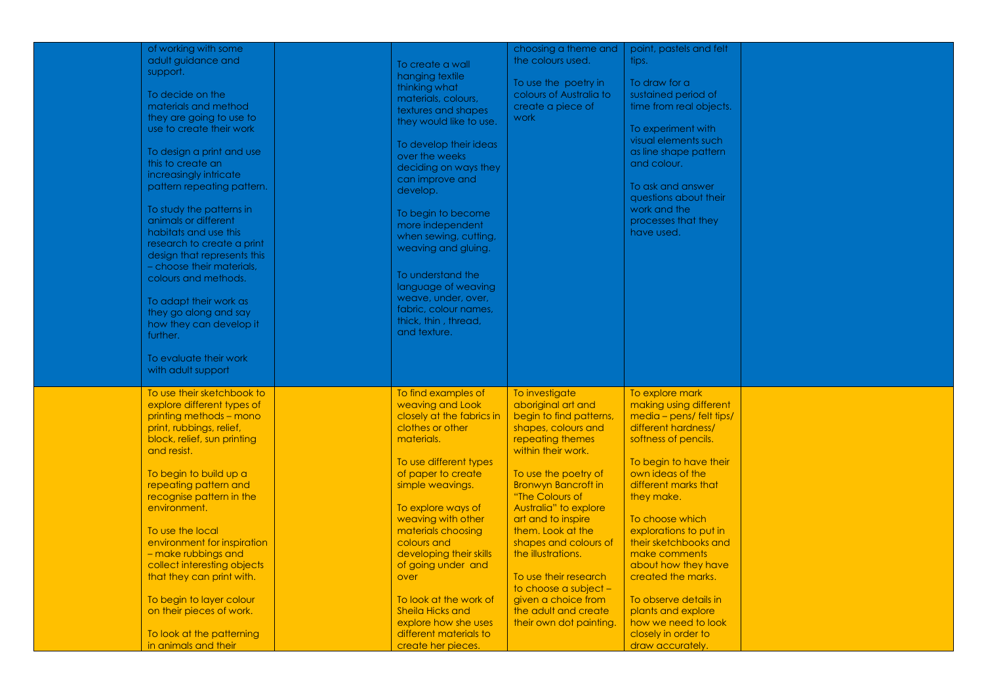| of working with some                              |                                              | choosing a theme and       | point, pastels and felt                 |  |
|---------------------------------------------------|----------------------------------------------|----------------------------|-----------------------------------------|--|
| adult guidance and                                | To create a wall                             | the colours used.          | tips.                                   |  |
| support.                                          | hanging textile                              |                            |                                         |  |
|                                                   |                                              | To use the poetry in       | To draw for a                           |  |
| To decide on the                                  | thinking what                                | colours of Australia to    | sustained period of                     |  |
| materials and method                              | materials, colours,                          | create a piece of          | time from real objects.                 |  |
| they are going to use to                          | textures and shapes                          |                            |                                         |  |
|                                                   | they would like to use.                      | work                       |                                         |  |
| use to create their work                          |                                              |                            | To experiment with                      |  |
|                                                   | To develop their ideas                       |                            | visual elements such                    |  |
| To design a print and use                         | over the weeks                               |                            | as line shape pattern                   |  |
| this to create an                                 | deciding on ways they                        |                            | and colour.                             |  |
| increasingly intricate                            |                                              |                            |                                         |  |
| pattern repeating pattern.                        | can improve and                              |                            | To ask and answer                       |  |
|                                                   | develop.                                     |                            | questions about their                   |  |
|                                                   |                                              |                            | work and the                            |  |
| To study the patterns in                          | To begin to become                           |                            |                                         |  |
| animals or different                              | more independent                             |                            | processes that they                     |  |
| habitats and use this                             | when sewing, cutting,                        |                            | have used.                              |  |
| research to create a print                        | weaving and gluing.                          |                            |                                         |  |
| design that represents this                       |                                              |                            |                                         |  |
| - choose their materials,                         |                                              |                            |                                         |  |
| colours and methods.                              | To understand the                            |                            |                                         |  |
|                                                   | language of weaving                          |                            |                                         |  |
|                                                   | weave, under, over,                          |                            |                                         |  |
| To adapt their work as                            | fabric, colour names,                        |                            |                                         |  |
| they go along and say                             |                                              |                            |                                         |  |
| how they can develop it                           | thick, thin, thread,                         |                            |                                         |  |
| further.                                          | and texture.                                 |                            |                                         |  |
|                                                   |                                              |                            |                                         |  |
| To evaluate their work                            |                                              |                            |                                         |  |
| with adult support                                |                                              |                            |                                         |  |
|                                                   |                                              |                            |                                         |  |
| To use their sketchbook to                        |                                              |                            |                                         |  |
|                                                   | To find examples of                          | To investigate             | To explore mark                         |  |
| explore different types of                        | weaving and Look                             | aboriginal art and         | making using different                  |  |
| printing methods - mono                           | closely at the fabrics in                    | begin to find patterns,    | media - pens/ felt tips/                |  |
| print, rubbings, relief,                          | clothes or other                             | shapes, colours and        | different hardness/                     |  |
| block, relief, sun printing                       | materials.                                   | repeating themes           | softness of pencils.                    |  |
| and resist.                                       |                                              | within their work.         |                                         |  |
|                                                   | To use different types                       |                            | To begin to have their                  |  |
| To begin to build up a                            | of paper to create                           | To use the poetry of       | own ideas of the                        |  |
| repeating pattern and                             | simple weavings.                             | <b>Bronwyn Bancroft in</b> | different marks that                    |  |
| recognise pattern in the                          |                                              | "The Colours of            | they make.                              |  |
|                                                   |                                              |                            |                                         |  |
| environment.                                      | To explore ways of                           | Australia" to explore      |                                         |  |
|                                                   | weaving with other                           | art and to inspire         | To choose which                         |  |
| To use the local                                  | materials choosing                           | them. Look at the          | explorations to put in                  |  |
| environment for inspiration                       | colours and                                  | shapes and colours of      | their sketchbooks and                   |  |
| - make rubbings and                               | developing their skills                      | the illustrations.         | make comments                           |  |
| collect interesting objects                       | of going under and                           |                            | about how they have                     |  |
| that they can print with.                         | over                                         | To use their research      | created the marks.                      |  |
|                                                   |                                              | to choose a subject -      |                                         |  |
| To begin to layer colour                          | To look at the work of                       | given a choice from        | To observe details in                   |  |
|                                                   |                                              | the adult and create       |                                         |  |
| on their pieces of work.                          | <b>Sheila Hicks and</b>                      |                            | plants and explore                      |  |
|                                                   |                                              |                            |                                         |  |
|                                                   | explore how she uses                         | their own dot painting.    | how we need to look                     |  |
| To look at the patterning<br>in animals and their | different materials to<br>create her pieces. |                            | closely in order to<br>draw accurately. |  |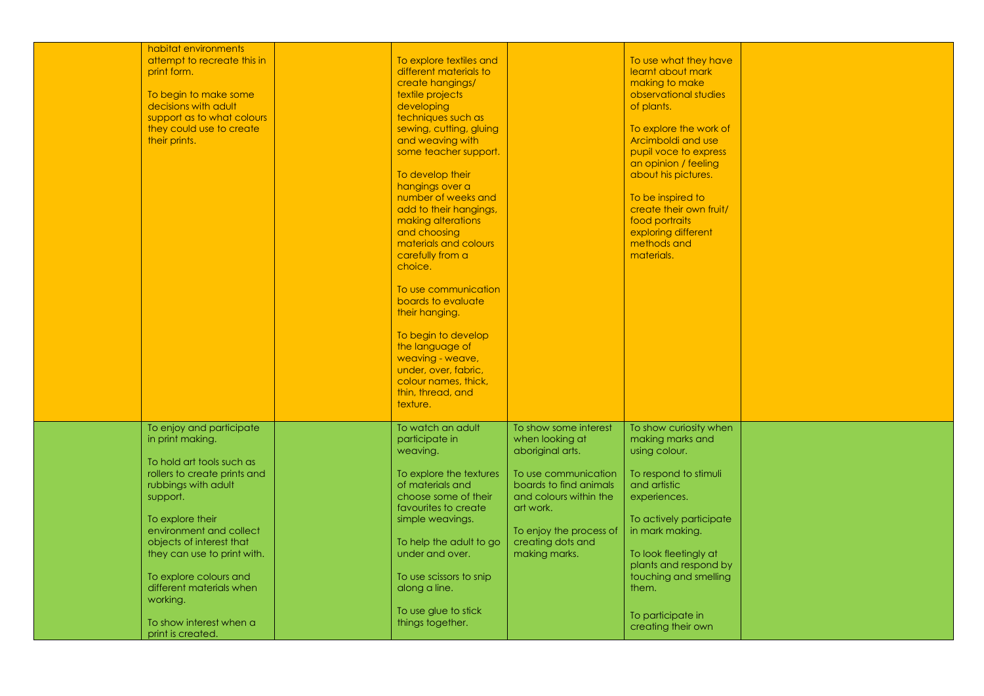| habitat environments         |                                              |                                     |                                              |  |
|------------------------------|----------------------------------------------|-------------------------------------|----------------------------------------------|--|
| attempt to recreate this in  | To explore textiles and                      |                                     | To use what they have                        |  |
| print form.                  | different materials to                       |                                     | learnt about mark                            |  |
|                              | create hangings/                             |                                     | making to make                               |  |
| To begin to make some        | textile projects                             |                                     | observational studies                        |  |
| decisions with adult         | developing                                   |                                     | of plants.                                   |  |
| support as to what colours   | techniques such as                           |                                     |                                              |  |
| they could use to create     | sewing, cutting, gluing                      |                                     | To explore the work of<br>Arcimboldi and use |  |
| their prints.                | and weaving with<br>some teacher support.    |                                     | pupil voce to express                        |  |
|                              |                                              |                                     | an opinion / feeling                         |  |
|                              | To develop their                             |                                     | about his pictures.                          |  |
|                              | hangings over a                              |                                     |                                              |  |
|                              | number of weeks and                          |                                     | To be inspired to                            |  |
|                              | add to their hangings,                       |                                     | create their own fruit/                      |  |
|                              | making alterations                           |                                     | food portraits                               |  |
|                              | and choosing                                 |                                     | exploring different                          |  |
|                              | materials and colours                        |                                     | methods and                                  |  |
|                              | carefully from a                             |                                     | materials.                                   |  |
|                              | choice.                                      |                                     |                                              |  |
|                              |                                              |                                     |                                              |  |
|                              | To use communication                         |                                     |                                              |  |
|                              | boards to evaluate                           |                                     |                                              |  |
|                              | their hanging.                               |                                     |                                              |  |
|                              |                                              |                                     |                                              |  |
|                              | To begin to develop<br>the language of       |                                     |                                              |  |
|                              | weaving - weave,                             |                                     |                                              |  |
|                              | under, over, fabric,                         |                                     |                                              |  |
|                              | colour names, thick,                         |                                     |                                              |  |
|                              | thin, thread, and                            |                                     |                                              |  |
|                              | texture.                                     |                                     |                                              |  |
|                              |                                              |                                     |                                              |  |
| To enjoy and participate     | To watch an adult                            | To show some interest               | To show curiosity when                       |  |
| in print making.             | participate in                               | when looking at                     | making marks and                             |  |
|                              | weaving.                                     | aboriginal arts.                    | using colour.                                |  |
| To hold art tools such as    |                                              |                                     |                                              |  |
| rollers to create prints and | To explore the textures                      | To use communication                | To respond to stimuli                        |  |
| rubbings with adult          | of materials and                             | boards to find animals              | and artistic                                 |  |
| support.                     | choose some of their<br>favourites to create | and colours within the<br>art work. | experiences.                                 |  |
| To explore their             | simple weavings.                             |                                     | To actively participate                      |  |
| environment and collect      |                                              | To enjoy the process of             | in mark making.                              |  |
| objects of interest that     | To help the adult to go                      | creating dots and                   |                                              |  |
| they can use to print with.  | under and over.                              | making marks.                       | To look fleetingly at                        |  |
|                              |                                              |                                     | plants and respond by                        |  |
| To explore colours and       | To use scissors to snip                      |                                     | touching and smelling                        |  |
| different materials when     | along a line.                                |                                     | them.                                        |  |
| working.                     |                                              |                                     |                                              |  |
|                              | To use glue to stick                         |                                     | To participate in                            |  |
| To show interest when a      | things together.                             |                                     | creating their own                           |  |
| print is created.            |                                              |                                     |                                              |  |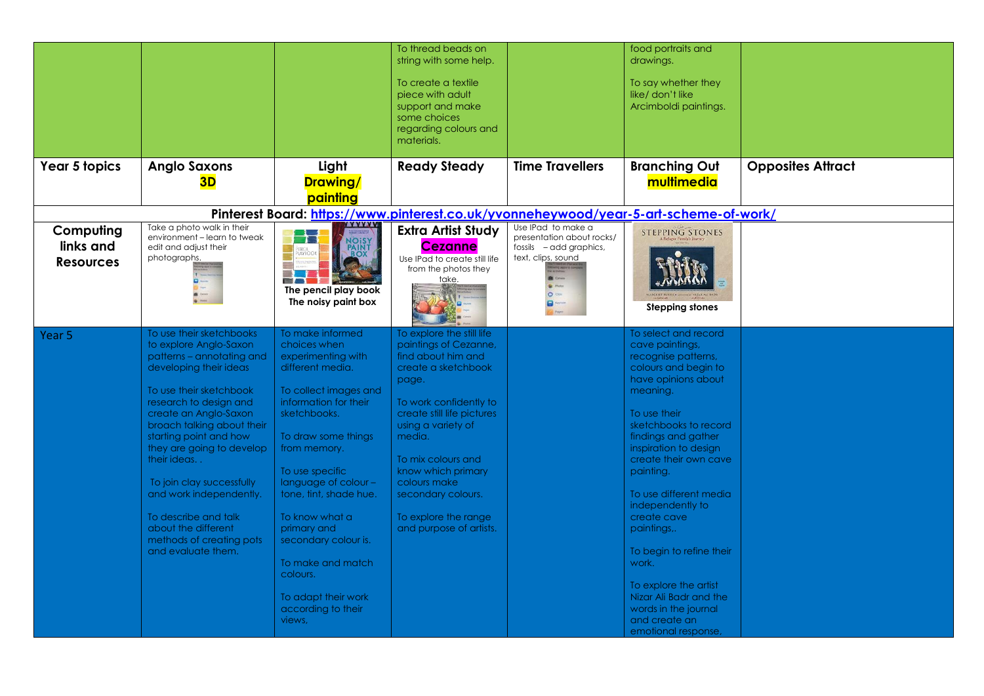|                                            |                                                                                                                                                                                                                                                                                                                                                                                                                                                      |                                                                                                                                                                                                                                                                                                                                                                                                           | To thread beads on<br>string with some help.<br>To create a textile<br>piece with adult<br>support and make<br>some choices<br>regarding colours and<br>materials.                                                                                                                                                                    |                                                                                                             | food portraits and<br>drawings.<br>To say whether they<br>like/don't like<br>Arcimboldi paintings.                                                                                                                                                                                                                                                                                                                                                                                           |                          |
|--------------------------------------------|------------------------------------------------------------------------------------------------------------------------------------------------------------------------------------------------------------------------------------------------------------------------------------------------------------------------------------------------------------------------------------------------------------------------------------------------------|-----------------------------------------------------------------------------------------------------------------------------------------------------------------------------------------------------------------------------------------------------------------------------------------------------------------------------------------------------------------------------------------------------------|---------------------------------------------------------------------------------------------------------------------------------------------------------------------------------------------------------------------------------------------------------------------------------------------------------------------------------------|-------------------------------------------------------------------------------------------------------------|----------------------------------------------------------------------------------------------------------------------------------------------------------------------------------------------------------------------------------------------------------------------------------------------------------------------------------------------------------------------------------------------------------------------------------------------------------------------------------------------|--------------------------|
| Year 5 topics                              | <b>Anglo Saxons</b><br>3D                                                                                                                                                                                                                                                                                                                                                                                                                            | Light<br>Drawing/<br>painting                                                                                                                                                                                                                                                                                                                                                                             | <b>Ready Steady</b>                                                                                                                                                                                                                                                                                                                   | <b>Time Travellers</b>                                                                                      | <b>Branching Out</b><br>multimedia                                                                                                                                                                                                                                                                                                                                                                                                                                                           | <b>Opposites Attract</b> |
|                                            |                                                                                                                                                                                                                                                                                                                                                                                                                                                      |                                                                                                                                                                                                                                                                                                                                                                                                           |                                                                                                                                                                                                                                                                                                                                       |                                                                                                             | Pinterest Board: https://www.pinterest.co.uk/yvonneheywood/year-5-art-scheme-of-work/                                                                                                                                                                                                                                                                                                                                                                                                        |                          |
| Computing<br>links and<br><b>Resources</b> | Take a photo walk in their<br>environment - learn to tweak<br>edit and adjust their<br>photographs.                                                                                                                                                                                                                                                                                                                                                  | <b>V V V V V V</b><br>$\color{red}$ $\color{red}$ $\color{red}$ $\color{red}$<br>NOISY<br>PAINT<br>pencil<br>Playbook<br>The pencil play book<br>The noisy paint box                                                                                                                                                                                                                                      | <b>Extra Artist Study</b><br><b>Cezanne</b><br>Use IPad to create still life<br>from the photos they<br>take.                                                                                                                                                                                                                         | Use IPad to make a<br>presentation about rocks/<br>fossils - add graphics,<br>text, clips, sound<br>$\circ$ | <b>STEPPING STONES</b><br><b>Stepping stones</b>                                                                                                                                                                                                                                                                                                                                                                                                                                             |                          |
| Year 5                                     | To use their sketchbooks<br>to explore Anglo-Saxon<br>patterns – annotating and<br>developing their ideas<br>To use their sketchbook<br>research to design and<br>create an Anglo-Saxon<br>broach talking about their<br>starting point and how<br>they are going to develop<br>their ideas<br>To join clay successfully<br>and work independently.<br>To describe and talk<br>about the different<br>methods of creating pots<br>and evaluate them. | To make informed<br>choices when<br>experimenting with<br>different media.<br>To collect images and<br>information for their<br>sketchbooks.<br>To draw some things<br>from memory.<br>To use specific<br>language of colour -<br>tone, tint, shade hue.<br>To know what a<br>primary and<br>secondary colour is.<br>To make and match<br>colours.<br>To adapt their work<br>according to their<br>views, | To explore the still life<br>paintings of Cezanne,<br>find about him and<br>create a sketchbook<br>page.<br>To work confidently to<br>create still life pictures<br>using a variety of<br>media.<br>To mix colours and<br>know which primary<br>colours make<br>secondary colours.<br>To explore the range<br>and purpose of artists. |                                                                                                             | To select and record<br>cave paintings,<br>recognise patterns,<br>colours and begin to<br>have opinions about<br>meaning.<br>To use their<br>sketchbooks to record<br>findings and gather<br>inspiration to design<br>create their own cave<br>painting.<br>To use different media<br>independently to<br>create cave<br>paintings,.<br>To begin to refine their<br>work.<br>To explore the artist<br>Nizar Ali Badr and the<br>words in the journal<br>and create an<br>emotional response, |                          |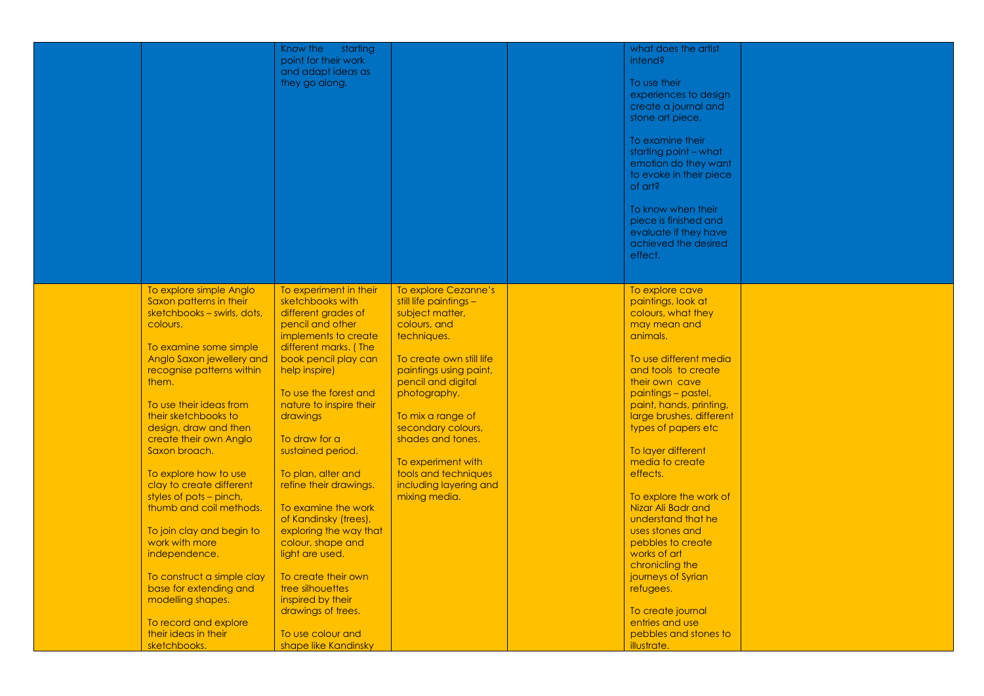|                                                                                                                                                                                                                                                                                                                                                                                                                                                                                                                                                                                                                            | Know the<br>starting<br>point for their work<br>and adapt ideas as<br>they go along.                                                                                                                                                                                                                                                                                                                                                                                                                                                                               |                                                                                                                                                                                                                                                                                                                                                       | what does the artist<br>intend?<br>To use their<br>experiences to design<br>create a journal and<br>stone art piece.<br>To examine their<br>starting point - what<br>emotion do they want<br>to evoke in their piece<br>of art?<br>To know when their<br>piece is finished and<br>evaluate if they have<br>achieved the desired<br>effect.                                                                                                                                                                                                                                |  |
|----------------------------------------------------------------------------------------------------------------------------------------------------------------------------------------------------------------------------------------------------------------------------------------------------------------------------------------------------------------------------------------------------------------------------------------------------------------------------------------------------------------------------------------------------------------------------------------------------------------------------|--------------------------------------------------------------------------------------------------------------------------------------------------------------------------------------------------------------------------------------------------------------------------------------------------------------------------------------------------------------------------------------------------------------------------------------------------------------------------------------------------------------------------------------------------------------------|-------------------------------------------------------------------------------------------------------------------------------------------------------------------------------------------------------------------------------------------------------------------------------------------------------------------------------------------------------|---------------------------------------------------------------------------------------------------------------------------------------------------------------------------------------------------------------------------------------------------------------------------------------------------------------------------------------------------------------------------------------------------------------------------------------------------------------------------------------------------------------------------------------------------------------------------|--|
| To explore simple Anglo<br>Saxon patterns in their<br>sketchbooks - swirls, dots,<br>colours.<br>To examine some simple<br>Anglo Saxon jewellery and<br>recognise patterns within<br>them.<br>To use their ideas from<br>their sketchbooks to<br>design, draw and then<br>create their own Anglo<br>Saxon broach.<br>To explore how to use<br>clay to create different<br>styles of pots - pinch,<br>thumb and coil methods.<br>To join clay and begin to<br>work with more<br>independence.<br>To construct a simple clay<br>base for extending and<br>modelling shapes.<br>To record and explore<br>their ideas in their | To experiment in their<br>sketchbooks with<br>different grades of<br>pencil and other<br>implements to create<br>different marks. (The<br>book pencil play can<br>help inspire)<br>To use the forest and<br>nature to inspire their<br>drawings<br>To draw for a<br>sustained period.<br>To plan, alter and<br>refine their drawings.<br>To examine the work<br>of Kandinsky (trees),<br>exploring the way that<br>colour, shape and<br>light are used.<br>To create their own<br>tree silhouettes<br>inspired by their<br>drawings of trees.<br>To use colour and | To explore Cezanne's<br>still life paintings -<br>subject matter,<br>colours, and<br>techniques.<br>To create own still life<br>paintings using paint,<br>pencil and digital<br>photography.<br>To mix a range of<br>secondary colours,<br>shades and tones.<br>To experiment with<br>tools and techniques<br>including layering and<br>mixing media. | To explore cave<br>paintings, look at<br>colours, what they<br>may mean and<br>animals.<br>To use different media<br>and tools to create<br>their own cave<br>paintings - pastel,<br>paint, hands, printing,<br>large brushes, different<br>types of papers etc<br>To layer different<br>media to create<br>effects.<br>To explore the work of<br>Nizar Ali Badr and<br>understand that he<br>uses stones and<br>pebbles to create<br>works of art<br>chronicling the<br>journeys of Syrian<br>refugees.<br>To create journal<br>entries and use<br>pebbles and stones to |  |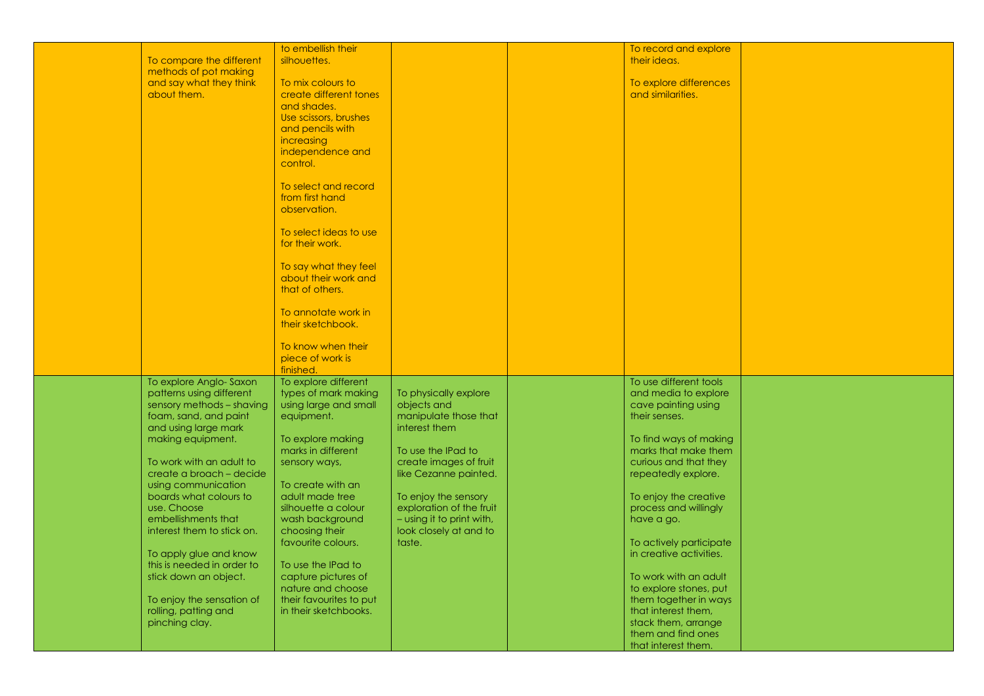|                            | to embellish their      |                           | To record and explore   |  |
|----------------------------|-------------------------|---------------------------|-------------------------|--|
| To compare the different   | silhouettes.            |                           | their ideas.            |  |
| methods of pot making      |                         |                           |                         |  |
|                            |                         |                           |                         |  |
| and say what they think    | To mix colours to       |                           | To explore differences  |  |
| about them.                | create different tones  |                           | and similarities.       |  |
|                            | and shades.             |                           |                         |  |
|                            | Use scissors, brushes   |                           |                         |  |
|                            | and pencils with        |                           |                         |  |
|                            |                         |                           |                         |  |
|                            | increasing              |                           |                         |  |
|                            | independence and        |                           |                         |  |
|                            | control.                |                           |                         |  |
|                            |                         |                           |                         |  |
|                            | To select and record    |                           |                         |  |
|                            |                         |                           |                         |  |
|                            | from first hand         |                           |                         |  |
|                            | observation.            |                           |                         |  |
|                            |                         |                           |                         |  |
|                            | To select ideas to use  |                           |                         |  |
|                            | for their work.         |                           |                         |  |
|                            |                         |                           |                         |  |
|                            |                         |                           |                         |  |
|                            | To say what they feel   |                           |                         |  |
|                            | about their work and    |                           |                         |  |
|                            | that of others.         |                           |                         |  |
|                            |                         |                           |                         |  |
|                            | To annotate work in     |                           |                         |  |
|                            |                         |                           |                         |  |
|                            | their sketchbook.       |                           |                         |  |
|                            |                         |                           |                         |  |
|                            | To know when their      |                           |                         |  |
|                            | piece of work is        |                           |                         |  |
|                            | finished.               |                           |                         |  |
|                            |                         |                           |                         |  |
| To explore Anglo-Saxon     | To explore different    |                           | To use different tools  |  |
| patterns using different   | types of mark making    | To physically explore     | and media to explore    |  |
| sensory methods - shaving  | using large and small   | objects and               | cave painting using     |  |
| foam, sand, and paint      | equipment.              | manipulate those that     | their senses.           |  |
| and using large mark       |                         | interest them             |                         |  |
|                            |                         |                           |                         |  |
| making equipment.          | To explore making       |                           | To find ways of making  |  |
|                            | marks in different      | To use the IPad to        | marks that make them    |  |
| To work with an adult to   | sensory ways,           | create images of fruit    | curious and that they   |  |
| create a broach - decide   |                         | like Cezanne painted.     | repeatedly explore.     |  |
| using communication        | To create with an       |                           |                         |  |
| boards what colours to     | adult made tree         | To enjoy the sensory      | To enjoy the creative   |  |
|                            |                         |                           |                         |  |
| use. Choose                | silhouette a colour     | exploration of the fruit  | process and willingly   |  |
| embellishments that        | wash background         | - using it to print with, | have a go.              |  |
| interest them to stick on. | choosing their          | look closely at and to    |                         |  |
|                            | favourite colours.      | taste.                    | To actively participate |  |
| To apply glue and know     |                         |                           | in creative activities. |  |
|                            | To use the IPad to      |                           |                         |  |
| this is needed in order to |                         |                           |                         |  |
| stick down an object.      | capture pictures of     |                           | To work with an adult   |  |
|                            | nature and choose       |                           | to explore stones, put  |  |
| To enjoy the sensation of  | their favourites to put |                           | them together in ways   |  |
| rolling, patting and       | in their sketchbooks.   |                           | that interest them,     |  |
| pinching clay.             |                         |                           | stack them, arrange     |  |
|                            |                         |                           |                         |  |
|                            |                         |                           | them and find ones      |  |
|                            |                         |                           | that interest them.     |  |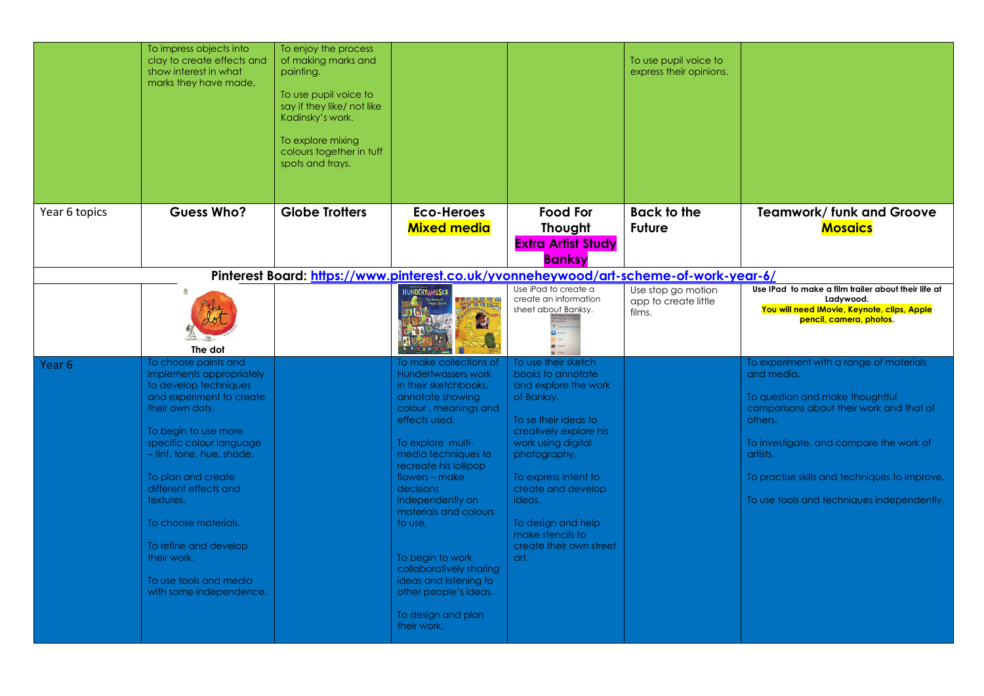|               | To impress objects into<br>clay to create effects and<br>show interest in what<br>marks they have made,                                                                                                                                                                                                                                                                                    | To enjoy the process<br>of making marks and<br>painting.<br>To use pupil voice to<br>say if they like/ not like<br>Kadinsky's work.<br>To explore mixing<br>colours together in tuff<br>spots and trays. |                                                                                                                                                                                                                                                                                                                                                                                                                                        |                                                                                                                                                                                                                                                                                                             | To use pupil voice to<br>express their opinions.     |                                                                                                                                                                                                                                                                                                       |
|---------------|--------------------------------------------------------------------------------------------------------------------------------------------------------------------------------------------------------------------------------------------------------------------------------------------------------------------------------------------------------------------------------------------|----------------------------------------------------------------------------------------------------------------------------------------------------------------------------------------------------------|----------------------------------------------------------------------------------------------------------------------------------------------------------------------------------------------------------------------------------------------------------------------------------------------------------------------------------------------------------------------------------------------------------------------------------------|-------------------------------------------------------------------------------------------------------------------------------------------------------------------------------------------------------------------------------------------------------------------------------------------------------------|------------------------------------------------------|-------------------------------------------------------------------------------------------------------------------------------------------------------------------------------------------------------------------------------------------------------------------------------------------------------|
| Year 6 topics | <b>Guess Who?</b>                                                                                                                                                                                                                                                                                                                                                                          | <b>Globe Trotters</b>                                                                                                                                                                                    | <b>Eco-Heroes</b><br><b>Mixed media</b>                                                                                                                                                                                                                                                                                                                                                                                                | <b>Food For</b><br>Thought<br><b>Extra Artist Study</b><br><b>Banksy</b>                                                                                                                                                                                                                                    | <b>Back to the</b><br><b>Future</b>                  | <b>Teamwork/funk and Groove</b><br><b>Mosaics</b>                                                                                                                                                                                                                                                     |
|               |                                                                                                                                                                                                                                                                                                                                                                                            |                                                                                                                                                                                                          |                                                                                                                                                                                                                                                                                                                                                                                                                                        | Pinterest Board: https://www.pinterest.co.uk/yvonneheywood/art-scheme-of-work-year-6/                                                                                                                                                                                                                       |                                                      |                                                                                                                                                                                                                                                                                                       |
|               | 图<br>The dot                                                                                                                                                                                                                                                                                                                                                                               |                                                                                                                                                                                                          | HUNDERTWASSER<br><b>THE RIGHT</b><br>g                                                                                                                                                                                                                                                                                                                                                                                                 | Use iPad to create a<br>create an information<br>sheet about Banksy.                                                                                                                                                                                                                                        | Use stop go motion<br>app to create little<br>films. | Use IPad to make a film trailer about their life at<br>Ladywood.<br>You will need IMovie, Keynote, clips, Apple<br>pencil, camera, photos.                                                                                                                                                            |
| Year 6        | To choose paints and<br>implements appropriately<br>to develop techniques<br>and experiment to create<br>their own dots.<br>To begin to use more<br>specific colour language<br>- tint, tone, hue, shade.<br>To plan and create<br>different effects and<br>textures.<br>To choose materials.<br>To refine and develop<br>their work.<br>To use tools and media<br>with some independence. |                                                                                                                                                                                                          | To make collections of<br>Hundertwassers work<br>in their sketchbooks,<br>annotate showing<br>colour, meanings and<br>effects used.<br>To explore multi-<br>media techniques to<br>recreate his lollipop<br>flowers – make<br>decisions<br>independently on<br>materials and colours<br>to use,<br>To begin to work<br>collaboratively sharing<br>ideas and listening to<br>other people's ideas.<br>To design and plan<br>their work. | To use their sketch<br>books to annotate<br>and explore the work<br>of Banksy.<br>To se their ideas to<br>creatively explore his<br>work using digital<br>photography.<br>To express intent to<br>create and develop<br>ideas.<br>To design and help<br>make stencils to<br>create their own street<br>art. |                                                      | To experiment with a range of materials<br>and media.<br>To question and make thoughtful<br>comparisons about their work and that of<br>others.<br>To investigate, and compare the work of<br>artists.<br>To practise skills and techniques to improve.<br>To use tools and techniques independently. |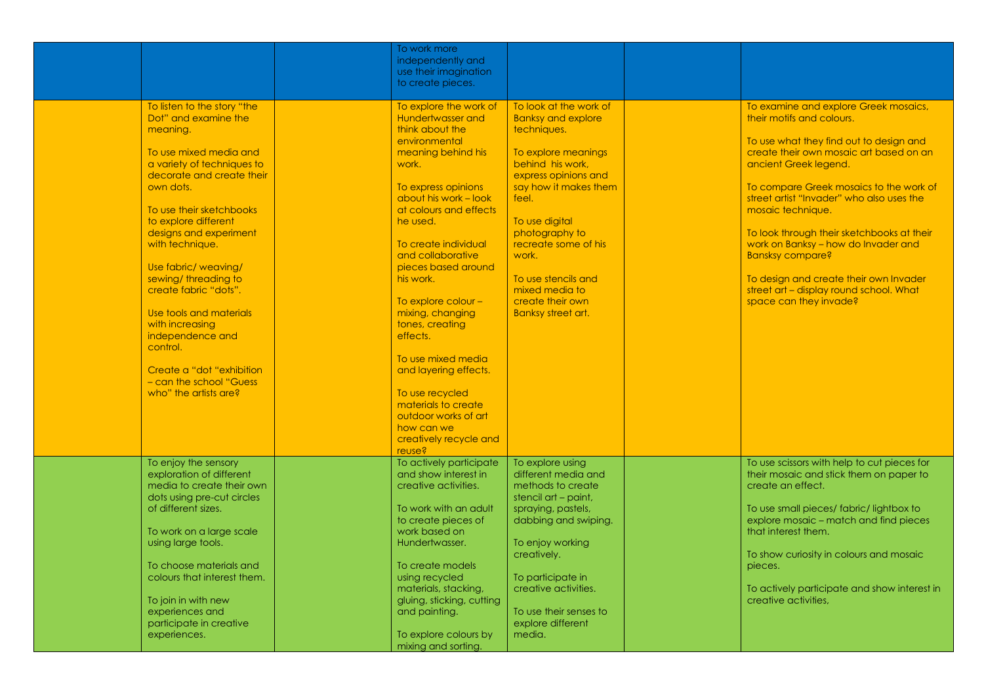|                                                                                                                                                                                                                                                                                                                                                                                                                                                                                                             | To work more<br>independently and<br>use their imagination<br>to create pieces.                                                                                                                                                                                                                                                                                                                                                                                                                                                   |                                                                                                                                                                                                                                                                                                                                        |                                                                                                                                                                                                                                                                                                                                                                                                                                                                                                                               |
|-------------------------------------------------------------------------------------------------------------------------------------------------------------------------------------------------------------------------------------------------------------------------------------------------------------------------------------------------------------------------------------------------------------------------------------------------------------------------------------------------------------|-----------------------------------------------------------------------------------------------------------------------------------------------------------------------------------------------------------------------------------------------------------------------------------------------------------------------------------------------------------------------------------------------------------------------------------------------------------------------------------------------------------------------------------|----------------------------------------------------------------------------------------------------------------------------------------------------------------------------------------------------------------------------------------------------------------------------------------------------------------------------------------|-------------------------------------------------------------------------------------------------------------------------------------------------------------------------------------------------------------------------------------------------------------------------------------------------------------------------------------------------------------------------------------------------------------------------------------------------------------------------------------------------------------------------------|
| To listen to the story "the<br>Dot" and examine the<br>meaning.<br>To use mixed media and<br>a variety of techniques to<br>decorate and create their<br>own dots.<br>To use their sketchbooks<br>to explore different<br>designs and experiment<br>with technique.<br>Use fabric/ weaving/<br>sewing/ threading to<br>create fabric "dots".<br>Use tools and materials<br>with increasing<br>independence and<br>control.<br>Create a "dot "exhibition<br>- can the school "Guess"<br>who" the artists are? | To explore the work of<br>Hundertwasser and<br>think about the<br>environmental<br>meaning behind his<br>work.<br>To express opinions<br>about his work - look<br>at colours and effects<br>he used.<br>To create individual<br>and collaborative<br>pieces based around<br>his work.<br>To explore colour-<br>mixing, changing<br>tones, creating<br>effects.<br>To use mixed media<br>and layering effects.<br>To use recycled<br>materials to create<br>outdoor works of art<br>how can we<br>creatively recycle and<br>reuse? | To look at the work of<br><b>Banksy and explore</b><br>techniques.<br>To explore meanings<br>behind his work,<br>express opinions and<br>say how it makes them<br>feel.<br>To use digital<br>photography to<br>recreate some of his<br>work.<br>To use stencils and<br>mixed media to<br>create their own<br><b>Banksy street art.</b> | To examine and explore Greek mosaics,<br>their motifs and colours.<br>To use what they find out to design and<br>create their own mosaic art based on an<br>ancient Greek legend.<br>To compare Greek mosaics to the work of<br>street artist "Invader" who also uses the<br>mosaic technique.<br>To look through their sketchbooks at their<br>work on Banksy - how do Invader and<br><b>Bansksy compare?</b><br>To design and create their own Invader<br>street art - display round school. What<br>space can they invade? |
| To enjoy the sensory<br>exploration of different<br>media to create their own<br>dots using pre-cut circles<br>of different sizes.<br>To work on a large scale<br>using large tools.<br>To choose materials and<br>colours that interest them.<br>To join in with new<br>experiences and<br>participate in creative<br>experiences.                                                                                                                                                                         | To actively participate<br>and show interest in<br>creative activities.<br>To work with an adult<br>to create pieces of<br>work based on<br>Hundertwasser.<br>To create models<br>using recycled<br>materials, stacking,<br>gluing, sticking, cutting<br>and painting.<br>To explore colours by<br>mixing and sorting.                                                                                                                                                                                                            | To explore using<br>different media and<br>methods to create<br>stencil art - paint,<br>spraying, pastels,<br>dabbing and swiping.<br>To enjoy working<br>creatively.<br>To participate in<br>creative activities.<br>To use their senses to<br>explore different<br>media.                                                            | To use scissors with help to cut pieces for<br>their mosaic and stick them on paper to<br>create an effect.<br>To use small pieces/ fabric/ lightbox to<br>explore mosaic - match and find pieces<br>that interest them.<br>To show curiosity in colours and mosaic<br>pieces.<br>To actively participate and show interest in<br>creative activities.                                                                                                                                                                        |